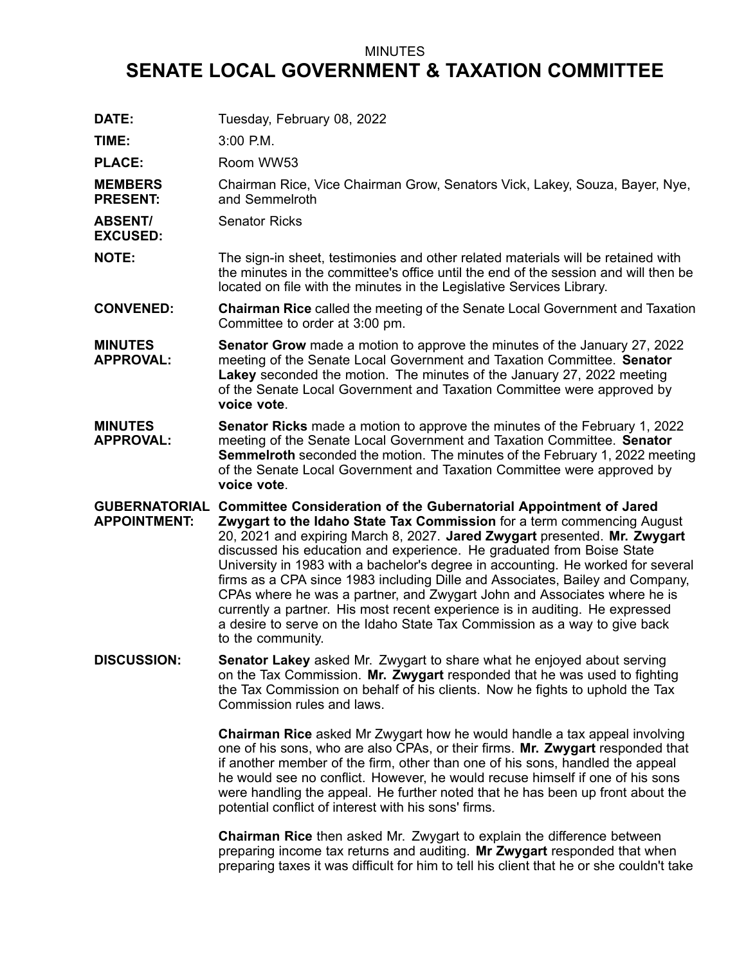## MINUTES

## **SENATE LOCAL GOVERNMENT & TAXATION COMMITTEE**

| DATE:                                       | Tuesday, February 08, 2022                                                                                                                                                                                                                                                                                                                                                                                                                                                                                                                                                                                                                                                                                                                  |
|---------------------------------------------|---------------------------------------------------------------------------------------------------------------------------------------------------------------------------------------------------------------------------------------------------------------------------------------------------------------------------------------------------------------------------------------------------------------------------------------------------------------------------------------------------------------------------------------------------------------------------------------------------------------------------------------------------------------------------------------------------------------------------------------------|
| TIME:                                       | $3:00$ P.M.                                                                                                                                                                                                                                                                                                                                                                                                                                                                                                                                                                                                                                                                                                                                 |
| <b>PLACE:</b>                               | Room WW53                                                                                                                                                                                                                                                                                                                                                                                                                                                                                                                                                                                                                                                                                                                                   |
| <b>MEMBERS</b><br><b>PRESENT:</b>           | Chairman Rice, Vice Chairman Grow, Senators Vick, Lakey, Souza, Bayer, Nye,<br>and Semmelroth                                                                                                                                                                                                                                                                                                                                                                                                                                                                                                                                                                                                                                               |
| <b>ABSENT/</b><br><b>EXCUSED:</b>           | <b>Senator Ricks</b>                                                                                                                                                                                                                                                                                                                                                                                                                                                                                                                                                                                                                                                                                                                        |
| <b>NOTE:</b>                                | The sign-in sheet, testimonies and other related materials will be retained with<br>the minutes in the committee's office until the end of the session and will then be<br>located on file with the minutes in the Legislative Services Library.                                                                                                                                                                                                                                                                                                                                                                                                                                                                                            |
| <b>CONVENED:</b>                            | <b>Chairman Rice</b> called the meeting of the Senate Local Government and Taxation<br>Committee to order at 3:00 pm.                                                                                                                                                                                                                                                                                                                                                                                                                                                                                                                                                                                                                       |
| <b>MINUTES</b><br><b>APPROVAL:</b>          | <b>Senator Grow</b> made a motion to approve the minutes of the January 27, 2022<br>meeting of the Senate Local Government and Taxation Committee. Senator<br>Lakey seconded the motion. The minutes of the January 27, 2022 meeting<br>of the Senate Local Government and Taxation Committee were approved by<br>voice vote.                                                                                                                                                                                                                                                                                                                                                                                                               |
| <b>MINUTES</b><br><b>APPROVAL:</b>          | Senator Ricks made a motion to approve the minutes of the February 1, 2022<br>meeting of the Senate Local Government and Taxation Committee. Senator<br><b>Semmelroth</b> seconded the motion. The minutes of the February 1, 2022 meeting<br>of the Senate Local Government and Taxation Committee were approved by<br>voice vote.                                                                                                                                                                                                                                                                                                                                                                                                         |
| <b>GUBERNATORIAL</b><br><b>APPOINTMENT:</b> | <b>Committee Consideration of the Gubernatorial Appointment of Jared</b><br>Zwygart to the Idaho State Tax Commission for a term commencing August<br>20, 2021 and expiring March 8, 2027. Jared Zwygart presented. Mr. Zwygart<br>discussed his education and experience. He graduated from Boise State<br>University in 1983 with a bachelor's degree in accounting. He worked for several<br>firms as a CPA since 1983 including Dille and Associates, Bailey and Company,<br>CPAs where he was a partner, and Zwygart John and Associates where he is<br>currently a partner. His most recent experience is in auditing. He expressed<br>a desire to serve on the Idaho State Tax Commission as a way to give back<br>to the community. |
| <b>DISCUSSION:</b>                          | Senator Lakey asked Mr. Zwygart to share what he enjoyed about serving<br>on the Tax Commission. Mr. Zwygart responded that he was used to fighting<br>the Tax Commission on behalf of his clients. Now he fights to uphold the Tax<br>Commission rules and laws.                                                                                                                                                                                                                                                                                                                                                                                                                                                                           |
|                                             | <b>Chairman Rice</b> asked Mr Zwygart how he would handle a tax appeal involving<br>one of his sons, who are also CPAs, or their firms. Mr. Zwygart responded that<br>if another member of the firm, other than one of his sons, handled the appeal<br>he would see no conflict. However, he would recuse himself if one of his sons<br>were handling the appeal. He further noted that he has been up front about the<br>potential conflict of interest with his sons' firms.                                                                                                                                                                                                                                                              |
|                                             | <b>Chairman Rice</b> then asked Mr. Zwygart to explain the difference between                                                                                                                                                                                                                                                                                                                                                                                                                                                                                                                                                                                                                                                               |

preparing income tax returns and auditing. **Mr Zwygart** responded that when preparing taxes it was difficult for him to tell his client that he or she couldn't take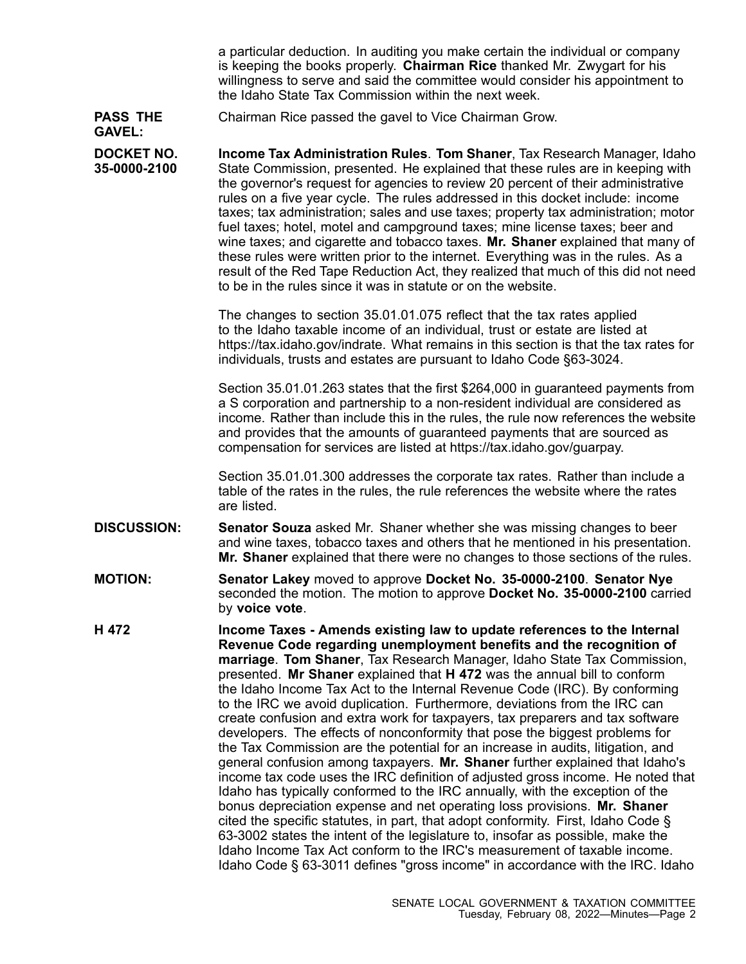<sup>a</sup> particular deduction. In auditing you make certain the individual or company is keeping the books properly. **Chairman Rice** thanked Mr. Zwygart for his willingness to serve and said the committee would consider his appointment to the Idaho State Tax Commission within the next week.

## **PASS THE** Chairman Rice passed the gavel to Vice Chairman Grow.

**GAVEL:**

**DOCKET NO. 35-0000-2100 Income Tax Administration Rules**. **Tom Shaner**, Tax Research Manager, Idaho State Commission, presented. He explained that these rules are in keeping with the governor's request for agencies to review 20 percent of their administrative rules on <sup>a</sup> five year cycle. The rules addressed in this docket include: income taxes; tax administration; sales and use taxes; property tax administration; motor fuel taxes; hotel, motel and campground taxes; mine license taxes; beer and wine taxes; and cigarette and tobacco taxes. **Mr. Shaner** explained that many of these rules were written prior to the internet. Everything was in the rules. As <sup>a</sup> result of the Red Tape Reduction Act, they realized that much of this did not need to be in the rules since it was in statute or on the website.

> The changes to section 35.01.01.075 reflect that the tax rates applied to the Idaho taxable income of an individual, trust or estate are listed at https://tax.idaho.gov/indrate. What remains in this section is that the tax rates for individuals, trusts and estates are pursuant to Idaho Code §63-3024.

> Section 35.01.01.263 states that the first \$264,000 in guaranteed payments from <sup>a</sup> S corporation and partnership to <sup>a</sup> non-resident individual are considered as income. Rather than include this in the rules, the rule now references the website and provides that the amounts of guaranteed payments that are sourced as compensation for services are listed at https://tax.idaho.gov/guarpay.

Section 35.01.01.300 addresses the corporate tax rates. Rather than include <sup>a</sup> table of the rates in the rules, the rule references the website where the rates are listed.

- **DISCUSSION: Senator Souza** asked Mr. Shaner whether she was missing changes to beer and wine taxes, tobacco taxes and others that he mentioned in his presentation. **Mr. Shaner** explained that there were no changes to those sections of the rules.
- **MOTION: Senator Lakey** moved to approve **Docket No. 35-0000-2100**. **Senator Nye** seconded the motion. The motion to approve **Docket No. 35-0000-2100** carried by **voice vote**.
- **H 472 Income Taxes - Amends existing law to update references to the Internal Revenue Code regarding unemployment benefits and the recognition of marriage**. **Tom Shaner**, Tax Research Manager, Idaho State Tax Commission, presented. **Mr Shaner** explained that **H 472** was the annual bill to conform the Idaho Income Tax Act to the Internal Revenue Code (IRC). By conforming to the IRC we avoid duplication. Furthermore, deviations from the IRC can create confusion and extra work for taxpayers, tax preparers and tax software developers. The effects of nonconformity that pose the biggest problems for the Tax Commission are the potential for an increase in audits, litigation, and general confusion among taxpayers. **Mr. Shaner** further explained that Idaho's income tax code uses the IRC definition of adjusted gross income. He noted that Idaho has typically conformed to the IRC annually, with the exception of the bonus depreciation expense and net operating loss provisions. **Mr. Shaner** cited the specific statutes, in part, that adopt conformity. First, Idaho Code § 63-3002 states the intent of the legislature to, insofar as possible, make the Idaho Income Tax Act conform to the IRC's measurement of taxable income. Idaho Code § 63-3011 defines "gross income" in accordance with the IRC. Idaho